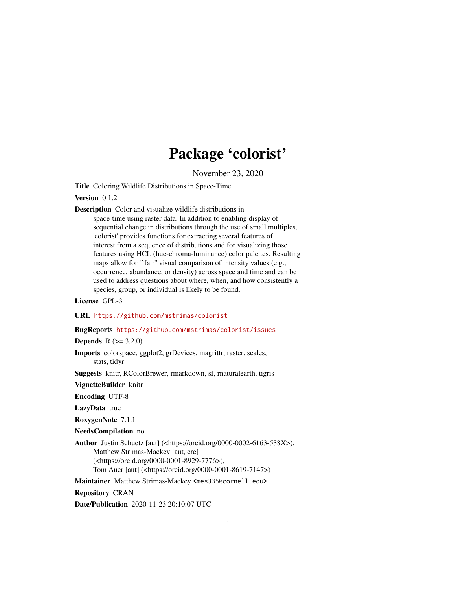## Package 'colorist'

November 23, 2020

<span id="page-0-0"></span>Title Coloring Wildlife Distributions in Space-Time

Version 0.1.2

Description Color and visualize wildlife distributions in space-time using raster data. In addition to enabling display of sequential change in distributions through the use of small multiples, 'colorist' provides functions for extracting several features of interest from a sequence of distributions and for visualizing those features using HCL (hue-chroma-luminance) color palettes. Resulting maps allow for "fair" visual comparison of intensity values (e.g., occurrence, abundance, or density) across space and time and can be used to address questions about where, when, and how consistently a species, group, or individual is likely to be found.

License GPL-3

URL <https://github.com/mstrimas/colorist>

BugReports <https://github.com/mstrimas/colorist/issues>

**Depends**  $R (= 3.2.0)$ 

Imports colorspace, ggplot2, grDevices, magrittr, raster, scales, stats, tidyr

Suggests knitr, RColorBrewer, rmarkdown, sf, rnaturalearth, tigris

VignetteBuilder knitr

Encoding UTF-8

LazyData true

RoxygenNote 7.1.1

NeedsCompilation no

Author Justin Schuetz [aut] (<https://orcid.org/0000-0002-6163-538X>), Matthew Strimas-Mackey [aut, cre] (<https://orcid.org/0000-0001-8929-7776>), Tom Auer [aut] (<https://orcid.org/0000-0001-8619-7147>)

Maintainer Matthew Strimas-Mackey <mes335@cornell.edu>

Repository CRAN

Date/Publication 2020-11-23 20:10:07 UTC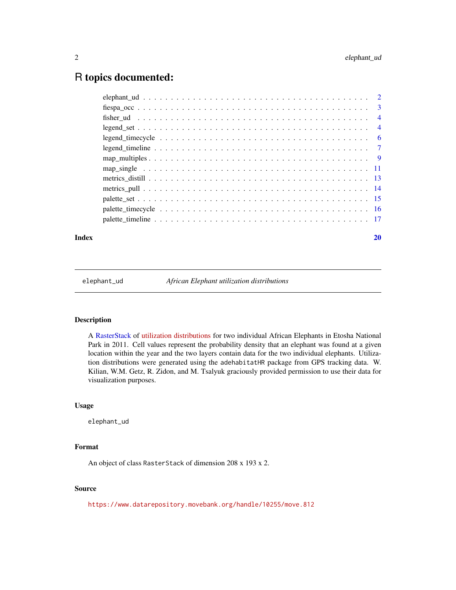## <span id="page-1-0"></span>R topics documented:

| $legend_set \ldots \ldots \ldots \ldots \ldots \ldots \ldots \ldots \ldots \ldots \ldots \ldots \ldots$                  |  |
|--------------------------------------------------------------------------------------------------------------------------|--|
| legend timecycle $\dots \dots \dots \dots \dots \dots \dots \dots \dots \dots \dots \dots \dots \dots \dots \dots \dots$ |  |
|                                                                                                                          |  |
|                                                                                                                          |  |
|                                                                                                                          |  |
|                                                                                                                          |  |
|                                                                                                                          |  |
|                                                                                                                          |  |
|                                                                                                                          |  |
|                                                                                                                          |  |
|                                                                                                                          |  |

## $\bf 1$ ndex  $\bf 20$  $\bf 20$

elephant\_ud *African Elephant utilization distributions*

## Description

A [RasterStack](#page-0-0) of [utilization distributions](https://en.wikipedia.org/wiki/Utilization_distribution) for two individual African Elephants in Etosha National Park in 2011. Cell values represent the probability density that an elephant was found at a given location within the year and the two layers contain data for the two individual elephants. Utilization distributions were generated using the adehabitatHR package from GPS tracking data. W. Kilian, W.M. Getz, R. Zidon, and M. Tsalyuk graciously provided permission to use their data for visualization purposes.

## Usage

elephant\_ud

## Format

An object of class RasterStack of dimension 208 x 193 x 2.

## Source

<https://www.datarepository.movebank.org/handle/10255/move.812>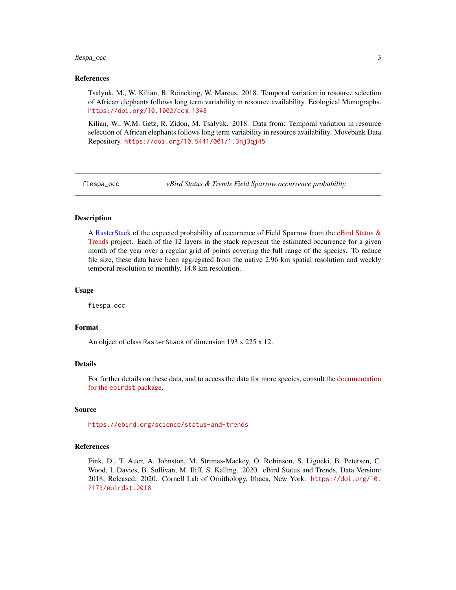## <span id="page-2-0"></span>fiespa\_occ 3

#### References

Tsalyuk, M., W. Kilian, B. Reineking, W. Marcus. 2018. Temporal variation in resource selection of African elephants follows long term variability in resource availability. Ecological Monographs. <https://doi.org/10.1002/ecm.1348>

Kilian, W., W.M. Getz, R. Zidon, M. Tsalyuk. 2018. Data from: Temporal variation in resource selection of African elephants follows long term variability in resource availability. Movebank Data Repository. <https://doi.org/10.5441/001/1.3nj3qj45>

fiespa\_occ *eBird Status & Trends Field Sparrow occurrence probability*

## **Description**

A [RasterStack](#page-0-0) of the expected probability of occurrence of Field Sparrow from the [eBird Status &](https://ebird.org/science/status-and-trends) [Trends](https://ebird.org/science/status-and-trends) project. Each of the 12 layers in the stack represent the estimated occurrence for a given month of the year over a regular grid of points covering the full range of the species. To reduce file size, these data have been aggregated from the native 2.96 km spatial resolution and weekly temporal resolution to monthly, 14.8 km resolution.

#### Usage

fiespa\_occ

## Format

An object of class RasterStack of dimension 193 x 225 x 12.

## Details

For further details on these data, and to access the data for more species, consult the [documentation](https://cornelllabofornithology.github.io/ebirdst/) for the [ebirdst](https://cornelllabofornithology.github.io/ebirdst/) package.

## Source

<https://ebird.org/science/status-and-trends>

#### References

Fink, D., T. Auer, A. Johnston, M. Strimas-Mackey, O. Robinson, S. Ligocki, B. Petersen, C. Wood, I. Davies, B. Sullivan, M. Iliff, S. Kelling. 2020. eBird Status and Trends, Data Version: 2018; Released: 2020. Cornell Lab of Ornithology, Ithaca, New York. [https://doi.org/10.](https://doi.org/10.2173/ebirdst.2018) [2173/ebirdst.2018](https://doi.org/10.2173/ebirdst.2018)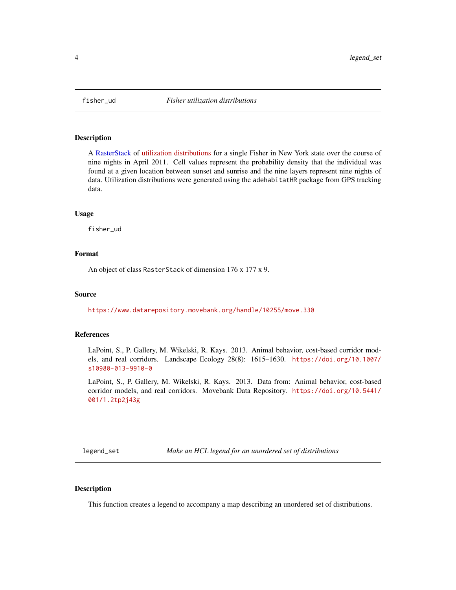<span id="page-3-0"></span>

#### Description

A [RasterStack](#page-0-0) of [utilization distributions](https://en.wikipedia.org/wiki/Utilization_distribution) for a single Fisher in New York state over the course of nine nights in April 2011. Cell values represent the probability density that the individual was found at a given location between sunset and sunrise and the nine layers represent nine nights of data. Utilization distributions were generated using the adehabitatHR package from GPS tracking data.

#### Usage

fisher\_ud

## Format

An object of class RasterStack of dimension 176 x 177 x 9.

#### Source

<https://www.datarepository.movebank.org/handle/10255/move.330>

#### References

LaPoint, S., P. Gallery, M. Wikelski, R. Kays. 2013. Animal behavior, cost-based corridor models, and real corridors. Landscape Ecology 28(8): 1615–1630. [https://doi.org/10.1007/](https://doi.org/10.1007/s10980-013-9910-0) [s10980-013-9910-0](https://doi.org/10.1007/s10980-013-9910-0)

LaPoint, S., P. Gallery, M. Wikelski, R. Kays. 2013. Data from: Animal behavior, cost-based corridor models, and real corridors. Movebank Data Repository. [https://doi.org/10.5441/](https://doi.org/10.5441/001/1.2tp2j43g) [001/1.2tp2j43g](https://doi.org/10.5441/001/1.2tp2j43g)

<span id="page-3-1"></span>legend\_set *Make an HCL legend for an unordered set of distributions*

#### Description

This function creates a legend to accompany a map describing an unordered set of distributions.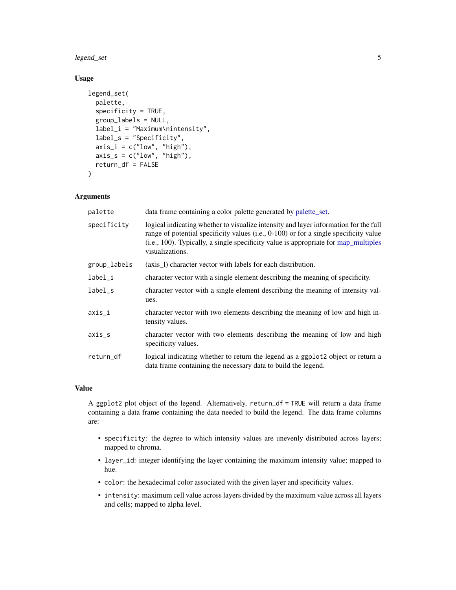## <span id="page-4-0"></span>legend\_set 5

## Usage

```
legend_set(
 palette,
  specificity = TRUE,
  group_labels = NULL,
  label_i = "Maximum\nintensity",
  label_s = "Specificity",
  axis_i = c("low", "high"),
  axis_s = c("low", "high"),return_df = FALSE
)
```
## Arguments

| palette      | data frame containing a color palette generated by palette_set.                                                                                                                                                                                                                            |
|--------------|--------------------------------------------------------------------------------------------------------------------------------------------------------------------------------------------------------------------------------------------------------------------------------------------|
| specificity  | logical indicating whether to visualize intensity and layer information for the full<br>range of potential specificity values (i.e., $0-100$ ) or for a single specificity value<br>(i.e., 100). Typically, a single specificity value is appropriate for map_multiples<br>visualizations. |
| group_labels | (axis_l) character vector with labels for each distribution.                                                                                                                                                                                                                               |
| label_i      | character vector with a single element describing the meaning of specificity.                                                                                                                                                                                                              |
| $label_s$    | character vector with a single element describing the meaning of intensity val-<br>ues.                                                                                                                                                                                                    |
| axis_i       | character vector with two elements describing the meaning of low and high in-<br>tensity values.                                                                                                                                                                                           |
| $axis_s$     | character vector with two elements describing the meaning of low and high<br>specificity values.                                                                                                                                                                                           |
| return_df    | logical indicating whether to return the legend as a ggplot2 object or return a<br>data frame containing the necessary data to build the legend.                                                                                                                                           |

#### Value

A ggplot2 plot object of the legend. Alternatively, return\_df = TRUE will return a data frame containing a data frame containing the data needed to build the legend. The data frame columns are:

- specificity: the degree to which intensity values are unevenly distributed across layers; mapped to chroma.
- layer\_id: integer identifying the layer containing the maximum intensity value; mapped to hue.
- color: the hexadecimal color associated with the given layer and specificity values.
- intensity: maximum cell value across layers divided by the maximum value across all layers and cells; mapped to alpha level.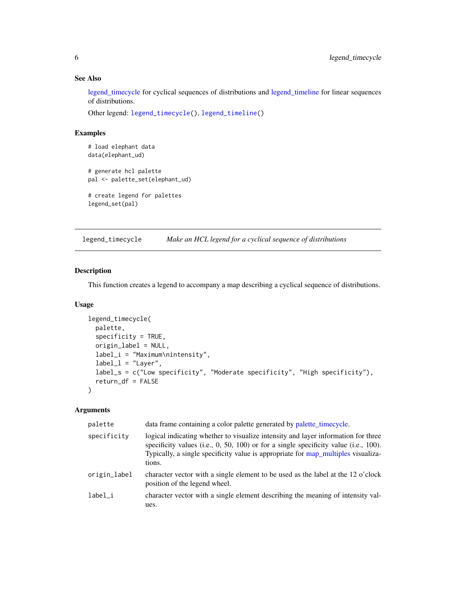## See Also

[legend\\_timecycle](#page-5-1) for cyclical sequences of distributions and [legend\\_timeline](#page-6-1) for linear sequences of distributions.

Other legend: [legend\\_timecycle\(](#page-5-1)), [legend\\_timeline\(](#page-6-1))

## Examples

```
# load elephant data
data(elephant_ud)
# generate hcl palette
pal <- palette_set(elephant_ud)
# create legend for palettes
legend_set(pal)
```
<span id="page-5-1"></span>legend\_timecycle *Make an HCL legend for a cyclical sequence of distributions*

## Description

This function creates a legend to accompany a map describing a cyclical sequence of distributions.

## Usage

```
legend_timecycle(
 palette,
 specificity = TRUE,
 origin_label = NULL,
  label_i = "Maximum\nintensity",
  label_1 = "Layer",label_s = c("Low specificity", "Moderate specificity", "High specificity"),
  return_df = FALSE
)
```
## Arguments

| palette      | data frame containing a color palette generated by palette_timecycle.                                                                                                                                                                                                    |
|--------------|--------------------------------------------------------------------------------------------------------------------------------------------------------------------------------------------------------------------------------------------------------------------------|
| specificity  | logical indicating whether to visualize intensity and layer information for three<br>specificity values (i.e., 0, 50, 100) or for a single specificity value (i.e., 100).<br>Typically, a single specificity value is appropriate for map_multiples visualiza-<br>tions. |
| origin_label | character vector with a single element to be used as the label at the 12 o'clock<br>position of the legend wheel.                                                                                                                                                        |
| label i      | character vector with a single element describing the meaning of intensity val-<br>ues.                                                                                                                                                                                  |

<span id="page-5-0"></span>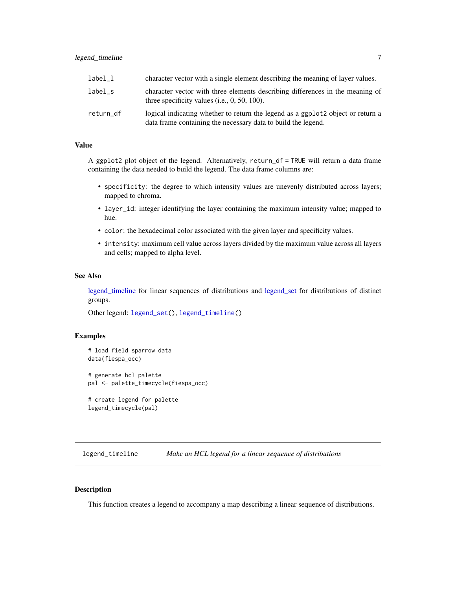## <span id="page-6-0"></span>legend\_timeline 7

| label l   | character vector with a single element describing the meaning of layer values.                                                                   |
|-----------|--------------------------------------------------------------------------------------------------------------------------------------------------|
| label s   | character vector with three elements describing differences in the meaning of<br>three specificity values (i.e., $0, 50, 100$ ).                 |
| return_df | logical indicating whether to return the legend as a ggplot2 object or return a<br>data frame containing the necessary data to build the legend. |

#### Value

A ggplot2 plot object of the legend. Alternatively, return\_df = TRUE will return a data frame containing the data needed to build the legend. The data frame columns are:

- specificity: the degree to which intensity values are unevenly distributed across layers; mapped to chroma.
- layer\_id: integer identifying the layer containing the maximum intensity value; mapped to hue.
- color: the hexadecimal color associated with the given layer and specificity values.
- intensity: maximum cell value across layers divided by the maximum value across all layers and cells; mapped to alpha level.

#### See Also

[legend\\_timeline](#page-6-1) for linear sequences of distributions and [legend\\_set](#page-3-1) for distributions of distinct groups.

Other legend: [legend\\_set\(](#page-3-1)), [legend\\_timeline\(](#page-6-1))

## Examples

```
# load field sparrow data
data(fiespa_occ)
# generate hcl palette
pal <- palette_timecycle(fiespa_occ)
```

```
# create legend for palette
legend_timecycle(pal)
```
<span id="page-6-1"></span>legend\_timeline *Make an HCL legend for a linear sequence of distributions*

#### Description

This function creates a legend to accompany a map describing a linear sequence of distributions.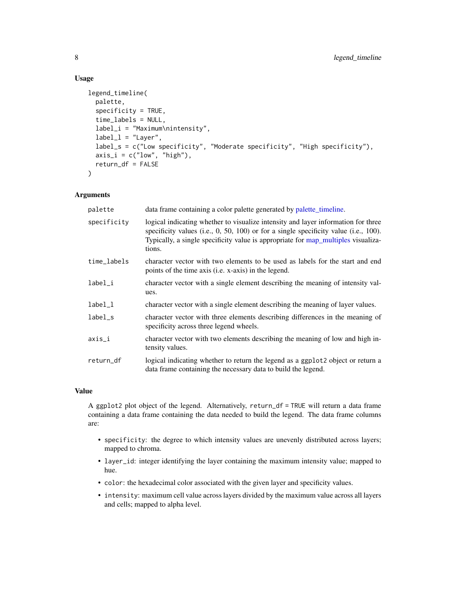## Usage

```
legend_timeline(
  palette,
  specificity = TRUE,
  time_labels = NULL,
  label_i = "Maximum\nintensity",
  label_1 = "Layer",label_s = c("Low specificity", "Moderate specificity", "High specificity"),
  axis_i = c("low", "high"),return_df = FALSE
\lambda
```
## Arguments

| palette     | data frame containing a color palette generated by palette_timeline.                                                                                                                                                                                                                 |
|-------------|--------------------------------------------------------------------------------------------------------------------------------------------------------------------------------------------------------------------------------------------------------------------------------------|
| specificity | logical indicating whether to visualize intensity and layer information for three<br>specificity values (i.e., $0$ , $50$ , $100$ ) or for a single specificity value (i.e., $100$ ).<br>Typically, a single specificity value is appropriate for map_multiples visualiza-<br>tions. |
| time_labels | character vector with two elements to be used as labels for the start and end<br>points of the time axis ( <i>i.e.</i> x-axis) in the legend.                                                                                                                                        |
| label_i     | character vector with a single element describing the meaning of intensity val-<br>ues.                                                                                                                                                                                              |
| $label_1$   | character vector with a single element describing the meaning of layer values.                                                                                                                                                                                                       |
| $label_s$   | character vector with three elements describing differences in the meaning of<br>specificity across three legend wheels.                                                                                                                                                             |
| axis_i      | character vector with two elements describing the meaning of low and high in-<br>tensity values.                                                                                                                                                                                     |
| return_df   | logical indicating whether to return the legend as a ggplot2 object or return a<br>data frame containing the necessary data to build the legend.                                                                                                                                     |

## Value

A ggplot2 plot object of the legend. Alternatively, return\_df = TRUE will return a data frame containing a data frame containing the data needed to build the legend. The data frame columns are:

- specificity: the degree to which intensity values are unevenly distributed across layers; mapped to chroma.
- layer\_id: integer identifying the layer containing the maximum intensity value; mapped to hue.
- color: the hexadecimal color associated with the given layer and specificity values.
- intensity: maximum cell value across layers divided by the maximum value across all layers and cells; mapped to alpha level.

<span id="page-7-0"></span>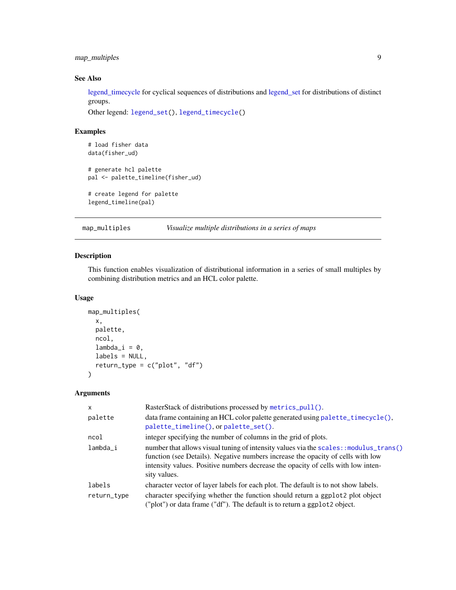<span id="page-8-0"></span>map\_multiples 9

## See Also

[legend\\_timecycle](#page-5-1) for cyclical sequences of distributions and [legend\\_set](#page-3-1) for distributions of distinct groups.

```
Other legend: legend_set(), legend_timecycle()
```
## Examples

```
# load fisher data
data(fisher_ud)
# generate hcl palette
pal <- palette_timeline(fisher_ud)
# create legend for palette
legend_timeline(pal)
```
<span id="page-8-1"></span>map\_multiples *Visualize multiple distributions in a series of maps*

#### Description

This function enables visualization of distributional information in a series of small multiples by combining distribution metrics and an HCL color palette.

## Usage

```
map_multiples(
  x,
 palette,
 ncol,
  lambda_i = 0,
 labels = NULL,
  return_type = c("plot", "df"))
```
## Arguments

| $\times$    | RasterStack of distributions processed by metrics_pull().                                                                                                                                                                                                                     |
|-------------|-------------------------------------------------------------------------------------------------------------------------------------------------------------------------------------------------------------------------------------------------------------------------------|
| palette     | data frame containing an HCL color palette generated using palette_timecycle(),<br>palette_timeline(), or palette_set().                                                                                                                                                      |
| ncol        | integer specifying the number of columns in the grid of plots.                                                                                                                                                                                                                |
| lambda_i    | number that allows visual tuning of intensity values via the scales: : modulus_trans()<br>function (see Details). Negative numbers increase the opacity of cells with low<br>intensity values. Positive numbers decrease the opacity of cells with low inten-<br>sity values. |
| labels      | character vector of layer labels for each plot. The default is to not show labels.                                                                                                                                                                                            |
| return_type | character specifying whether the function should return a ggplot2 plot object<br>("plot") or data frame ("df"). The default is to return a ggplot2 object.                                                                                                                    |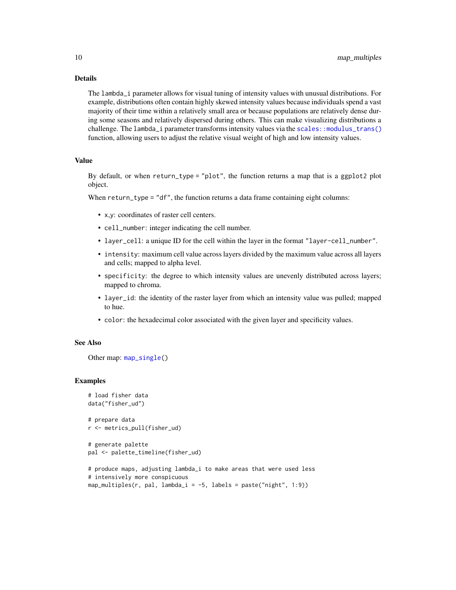## Details

The lambda\_i parameter allows for visual tuning of intensity values with unusual distributions. For example, distributions often contain highly skewed intensity values because individuals spend a vast majority of their time within a relatively small area or because populations are relatively dense during some seasons and relatively dispersed during others. This can make visualizing distributions a challenge. The lambda\_i parameter transforms intensity values via the [scales::modulus\\_trans\(\)](#page-0-0) function, allowing users to adjust the relative visual weight of high and low intensity values.

#### Value

By default, or when return\_type = "plot", the function returns a map that is a ggplot2 plot object.

When return\_type = "df", the function returns a data frame containing eight columns:

- x,y: coordinates of raster cell centers.
- cell\_number: integer indicating the cell number.
- layer\_cell: a unique ID for the cell within the layer in the format "layer-cell\_number".
- intensity: maximum cell value across layers divided by the maximum value across all layers and cells; mapped to alpha level.
- specificity: the degree to which intensity values are unevenly distributed across layers; mapped to chroma.
- layer\_id: the identity of the raster layer from which an intensity value was pulled; mapped to hue.
- color: the hexadecimal color associated with the given layer and specificity values.

## See Also

```
Other map: map_single()
```
#### Examples

```
# load fisher data
data("fisher_ud")
# prepare data
r <- metrics_pull(fisher_ud)
# generate palette
pal <- palette_timeline(fisher_ud)
# produce maps, adjusting lambda_i to make areas that were used less
# intensively more conspicuous
map_multiples(r, pal, lambda_i = -5, labels = paste("night", 1:9))
```
<span id="page-9-0"></span>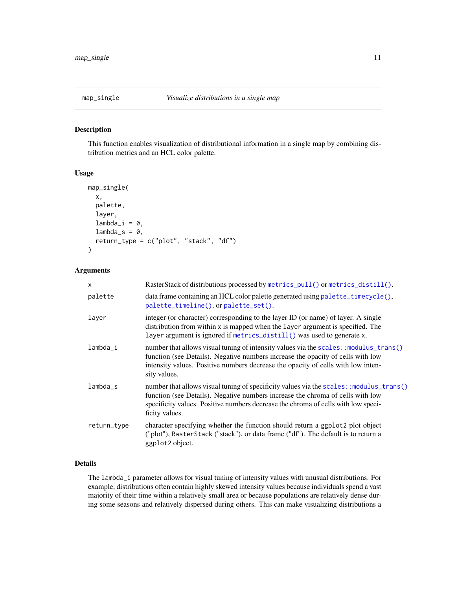<span id="page-10-1"></span><span id="page-10-0"></span>

#### Description

This function enables visualization of distributional information in a single map by combining distribution metrics and an HCL color palette.

#### Usage

```
map_single(
  x,
  palette,
  layer,
  lambda_i = 0,
  lambda_s = 0,
  return_type = c("plot", "stack", "df")
)
```
## Arguments

| RasterStack of distributions processed by metrics_pull() or metrics_distill().                                                                                                                                                                                                    |
|-----------------------------------------------------------------------------------------------------------------------------------------------------------------------------------------------------------------------------------------------------------------------------------|
| data frame containing an HCL color palette generated using palette_timecycle(),<br>palette_timeline(), or palette_set().                                                                                                                                                          |
| integer (or character) corresponding to the layer ID (or name) of layer. A single<br>distribution from within x is mapped when the layer argument is specified. The<br>layer argument is ignored if metrics_distill() was used to generate x.                                     |
| number that allows visual tuning of intensity values via the scales: : modulus_trans()<br>function (see Details). Negative numbers increase the opacity of cells with low<br>intensity values. Positive numbers decrease the opacity of cells with low inten-<br>sity values.     |
| number that allows visual tuning of specificity values via the scales: : modulus_trans()<br>function (see Details). Negative numbers increase the chroma of cells with low<br>specificity values. Positive numbers decrease the chroma of cells with low speci-<br>ficity values. |
| character specifying whether the function should return a ggplot2 plot object<br>("plot"), RasterStack ("stack"), or data frame ("df"). The default is to return a<br>ggplot2 object.                                                                                             |
|                                                                                                                                                                                                                                                                                   |

## Details

The lambda\_i parameter allows for visual tuning of intensity values with unusual distributions. For example, distributions often contain highly skewed intensity values because individuals spend a vast majority of their time within a relatively small area or because populations are relatively dense during some seasons and relatively dispersed during others. This can make visualizing distributions a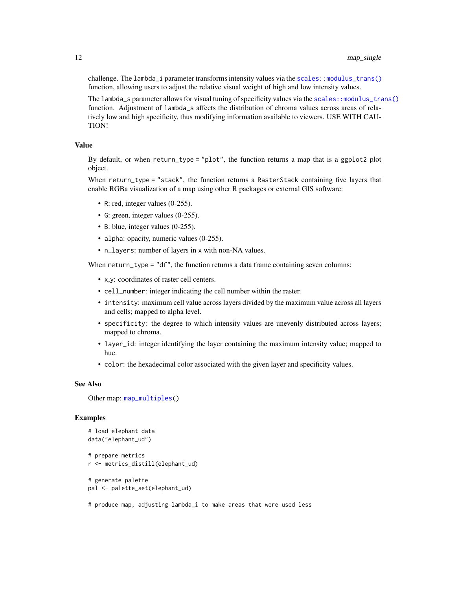<span id="page-11-0"></span>challenge. The lambda\_i parameter transforms intensity values via the [scales::modulus\\_trans\(\)](#page-0-0) function, allowing users to adjust the relative visual weight of high and low intensity values.

The lambda\_s parameter allows for visual tuning of specificity values via the [scales::modulus\\_trans\(\)](#page-0-0) function. Adjustment of lambda\_s affects the distribution of chroma values across areas of relatively low and high specificity, thus modifying information available to viewers. USE WITH CAU-TION!

#### Value

By default, or when return\_type = "plot", the function returns a map that is a ggplot2 plot object.

When return\_type = "stack", the function returns a RasterStack containing five layers that enable RGBa visualization of a map using other R packages or external GIS software:

- R: red, integer values (0-255).
- G: green, integer values (0-255).
- B: blue, integer values (0-255).
- alpha: opacity, numeric values (0-255).
- n\_layers: number of layers in x with non-NA values.

When return\_type = "df", the function returns a data frame containing seven columns:

- x,y: coordinates of raster cell centers.
- cell\_number: integer indicating the cell number within the raster.
- intensity: maximum cell value across layers divided by the maximum value across all layers and cells; mapped to alpha level.
- specificity: the degree to which intensity values are unevenly distributed across layers; mapped to chroma.
- layer\_id: integer identifying the layer containing the maximum intensity value; mapped to hue.
- color: the hexadecimal color associated with the given layer and specificity values.

#### See Also

Other map: [map\\_multiples\(](#page-8-1))

#### Examples

```
# load elephant data
data("elephant_ud")
# prepare metrics
r <- metrics_distill(elephant_ud)
# generate palette
pal <- palette_set(elephant_ud)
```
# produce map, adjusting lambda\_i to make areas that were used less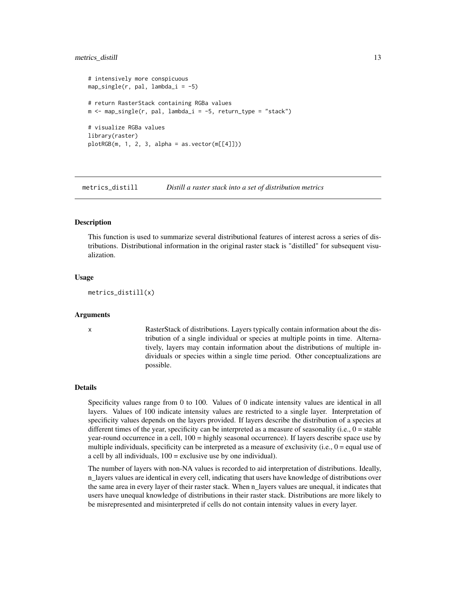#### <span id="page-12-0"></span>metrics\_distill 13

```
# intensively more conspicuous
map\_single(r, pal, lambda_i = -5)# return RasterStack containing RGBa values
m <- map_single(r, pal, lambda_i = -5, return_type = "stack")
# visualize RGBa values
library(raster)
plotRGB(m, 1, 2, 3, alpha = as.vector(m[[4]]))
```
<span id="page-12-1"></span>metrics\_distill *Distill a raster stack into a set of distribution metrics*

#### **Description**

This function is used to summarize several distributional features of interest across a series of distributions. Distributional information in the original raster stack is "distilled" for subsequent visualization.

#### Usage

```
metrics_distill(x)
```
#### Arguments

x RasterStack of distributions. Layers typically contain information about the distribution of a single individual or species at multiple points in time. Alternatively, layers may contain information about the distributions of multiple individuals or species within a single time period. Other conceptualizations are possible.

#### Details

Specificity values range from 0 to 100. Values of 0 indicate intensity values are identical in all layers. Values of 100 indicate intensity values are restricted to a single layer. Interpretation of specificity values depends on the layers provided. If layers describe the distribution of a species at different times of the year, specificity can be interpreted as a measure of seasonality (i.e.,  $0 =$  stable year-round occurrence in a cell, 100 = highly seasonal occurrence). If layers describe space use by multiple individuals, specificity can be interpreted as a measure of exclusivity (i.e., 0 = equal use of a cell by all individuals, 100 = exclusive use by one individual).

The number of layers with non-NA values is recorded to aid interpretation of distributions. Ideally, n\_layers values are identical in every cell, indicating that users have knowledge of distributions over the same area in every layer of their raster stack. When n\_layers values are unequal, it indicates that users have unequal knowledge of distributions in their raster stack. Distributions are more likely to be misrepresented and misinterpreted if cells do not contain intensity values in every layer.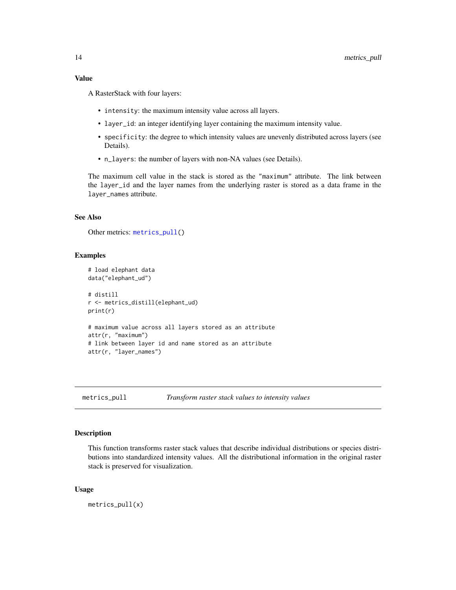#### <span id="page-13-0"></span>Value

A RasterStack with four layers:

- intensity: the maximum intensity value across all layers.
- layer\_id: an integer identifying layer containing the maximum intensity value.
- specificity: the degree to which intensity values are unevenly distributed across layers (see Details).
- n\_layers: the number of layers with non-NA values (see Details).

The maximum cell value in the stack is stored as the "maximum" attribute. The link between the layer\_id and the layer names from the underlying raster is stored as a data frame in the layer\_names attribute.

## See Also

Other metrics: [metrics\\_pull\(](#page-13-1))

#### Examples

```
# load elephant data
data("elephant_ud")
# distill
r <- metrics_distill(elephant_ud)
print(r)
# maximum value across all layers stored as an attribute
attr(r, "maximum")
# link between layer id and name stored as an attribute
attr(r, "layer_names")
```
<span id="page-13-1"></span>

metrics\_pull *Transform raster stack values to intensity values*

#### Description

This function transforms raster stack values that describe individual distributions or species distributions into standardized intensity values. All the distributional information in the original raster stack is preserved for visualization.

#### Usage

metrics\_pull(x)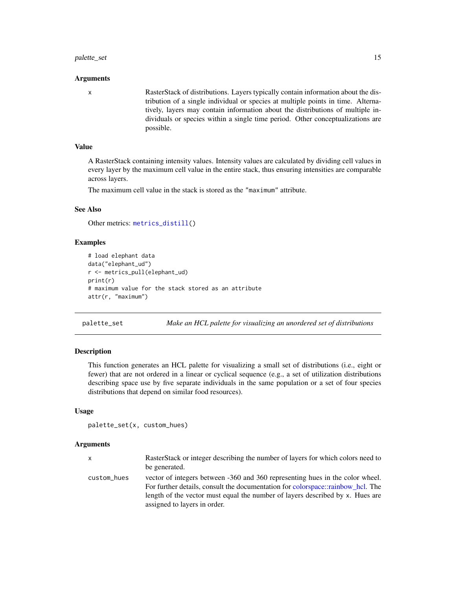## <span id="page-14-0"></span>palette\_set 15

#### Arguments

x RasterStack of distributions. Layers typically contain information about the distribution of a single individual or species at multiple points in time. Alternatively, layers may contain information about the distributions of multiple individuals or species within a single time period. Other conceptualizations are possible.

## Value

A RasterStack containing intensity values. Intensity values are calculated by dividing cell values in every layer by the maximum cell value in the entire stack, thus ensuring intensities are comparable across layers.

The maximum cell value in the stack is stored as the "maximum" attribute.

## See Also

Other metrics: [metrics\\_distill\(](#page-12-1))

## Examples

```
# load elephant data
data("elephant_ud")
r <- metrics_pull(elephant_ud)
print(r)
# maximum value for the stack stored as an attribute
attr(r, "maximum")
```
<span id="page-14-1"></span>palette\_set *Make an HCL palette for visualizing an unordered set of distributions*

#### Description

This function generates an HCL palette for visualizing a small set of distributions (i.e., eight or fewer) that are not ordered in a linear or cyclical sequence (e.g., a set of utilization distributions describing space use by five separate individuals in the same population or a set of four species distributions that depend on similar food resources).

#### Usage

```
palette_set(x, custom_hues)
```
#### Arguments

|             | RasterStack or integer describing the number of layers for which colors need to<br>be generated.                                                                 |
|-------------|------------------------------------------------------------------------------------------------------------------------------------------------------------------|
| custom hues | vector of integers between -360 and 360 representing hues in the color wheel.<br>For further details, consult the documentation for colorspace::rainbow hcl. The |
|             | length of the vector must equal the number of layers described by x. Hues are                                                                                    |

assigned to layers in order.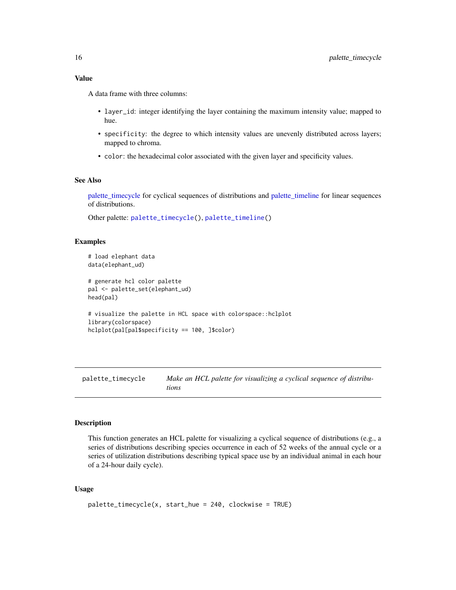## <span id="page-15-0"></span>Value

A data frame with three columns:

- layer\_id: integer identifying the layer containing the maximum intensity value; mapped to hue.
- specificity: the degree to which intensity values are unevenly distributed across layers; mapped to chroma.
- color: the hexadecimal color associated with the given layer and specificity values.

## See Also

[palette\\_timecycle](#page-15-1) for cyclical sequences of distributions and [palette\\_timeline](#page-16-1) for linear sequences of distributions.

Other palette: [palette\\_timecycle\(](#page-15-1)), [palette\\_timeline\(](#page-16-1))

## Examples

```
# load elephant data
data(elephant_ud)
# generate hcl color palette
pal <- palette_set(elephant_ud)
head(pal)
```

```
# visualize the palette in HCL space with colorspace::hclplot
library(colorspace)
hclplot(pal[pal$specificity == 100, ]$color)
```
<span id="page-15-1"></span>palette\_timecycle *Make an HCL palette for visualizing a cyclical sequence of distributions*

#### **Description**

This function generates an HCL palette for visualizing a cyclical sequence of distributions (e.g., a series of distributions describing species occurrence in each of 52 weeks of the annual cycle or a series of utilization distributions describing typical space use by an individual animal in each hour of a 24-hour daily cycle).

#### Usage

```
palette_timecycle(x, start_hue = 240, clockwise = TRUE)
```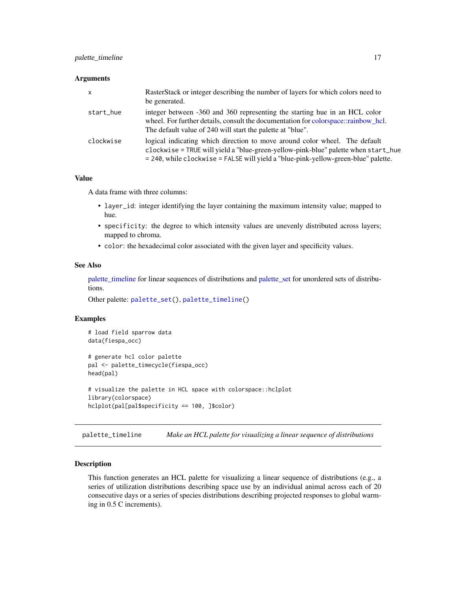## <span id="page-16-0"></span>palette\_timeline 17

#### **Arguments**

| $\mathsf{x}$ | RasterStack or integer describing the number of layers for which colors need to<br>be generated.                                                                                                                                                       |
|--------------|--------------------------------------------------------------------------------------------------------------------------------------------------------------------------------------------------------------------------------------------------------|
| start_hue    | integer between -360 and 360 representing the starting hue in an HCL color<br>wheel. For further details, consult the documentation for colorspace::rainbow hcl.<br>The default value of 240 will start the palette at "blue".                         |
| clockwise    | logical indicating which direction to move around color wheel. The default<br>clockwise = TRUE will yield a "blue-green-yellow-pink-blue" palette when start_hue<br>= 240, while clockwise = FALSE will yield a "blue-pink-yellow-green-blue" palette. |

## Value

A data frame with three columns:

- layer\_id: integer identifying the layer containing the maximum intensity value; mapped to hue.
- specificity: the degree to which intensity values are unevenly distributed across layers; mapped to chroma.
- color: the hexadecimal color associated with the given layer and specificity values.

#### See Also

[palette\\_timeline](#page-16-1) for linear sequences of distributions and [palette\\_set](#page-14-1) for unordered sets of distributions.

Other palette: [palette\\_set\(](#page-14-1)), [palette\\_timeline\(](#page-16-1))

## Examples

# load field sparrow data data(fiespa\_occ)

```
# generate hcl color palette
pal <- palette_timecycle(fiespa_occ)
head(pal)
```

```
# visualize the palette in HCL space with colorspace::hclplot
library(colorspace)
hclplot(pal[pal$specificity == 100, ]$color)
```
<span id="page-16-1"></span>palette\_timeline *Make an HCL palette for visualizing a linear sequence of distributions*

#### **Description**

This function generates an HCL palette for visualizing a linear sequence of distributions (e.g., a series of utilization distributions describing space use by an individual animal across each of 20 consecutive days or a series of species distributions describing projected responses to global warming in 0.5 C increments).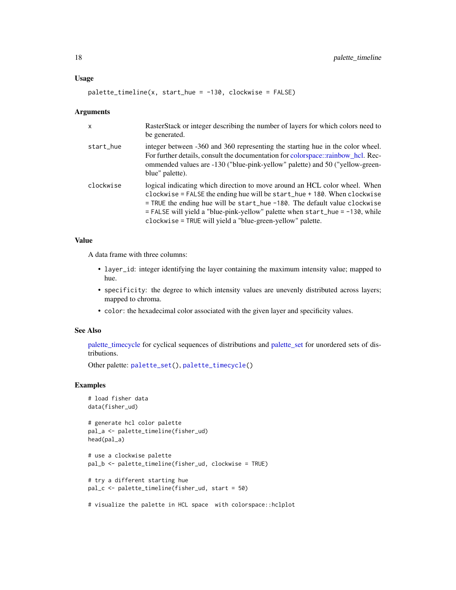```
palette_timeline(x, start\_hue = -130, clockwise = FALSE)
```
#### Arguments

| $\times$  | RasterStack or integer describing the number of layers for which colors need to<br>be generated.                                                                                                                                                                                                                                                                                           |
|-----------|--------------------------------------------------------------------------------------------------------------------------------------------------------------------------------------------------------------------------------------------------------------------------------------------------------------------------------------------------------------------------------------------|
| start_hue | integer between -360 and 360 representing the starting hue in the color wheel.<br>For further details, consult the documentation for colorspace::rainbow hcl. Rec-<br>ommended values are -130 ("blue-pink-yellow" palette) and 50 ("yellow-green-<br>blue" palette).                                                                                                                      |
| clockwise | logical indicating which direction to move around an HCL color wheel. When<br>clockwise = $FALSE$ the ending hue will be start_hue + 180. When clockwise<br>$=$ TRUE the ending hue will be start_hue $-180$ . The default value clockwise<br>$=$ FALSE will yield a "blue-pink-yellow" palette when start_hue = -130, while<br>clockwise = TRUE will yield a "blue-green-yellow" palette. |

#### Value

A data frame with three columns:

- layer\_id: integer identifying the layer containing the maximum intensity value; mapped to hue.
- specificity: the degree to which intensity values are unevenly distributed across layers; mapped to chroma.
- color: the hexadecimal color associated with the given layer and specificity values.

#### See Also

[palette\\_timecycle](#page-15-1) for cyclical sequences of distributions and [palette\\_set](#page-14-1) for unordered sets of distributions.

Other palette: [palette\\_set\(](#page-14-1)), [palette\\_timecycle\(](#page-15-1))

## Examples

```
# load fisher data
data(fisher_ud)
```

```
# generate hcl color palette
pal_a <- palette_timeline(fisher_ud)
head(pal_a)
```
# use a clockwise palette pal\_b <- palette\_timeline(fisher\_ud, clockwise = TRUE)

```
# try a different starting hue
pal_c <- palette_timeline(fisher_ud, start = 50)
```
# visualize the palette in HCL space with colorspace::hclplot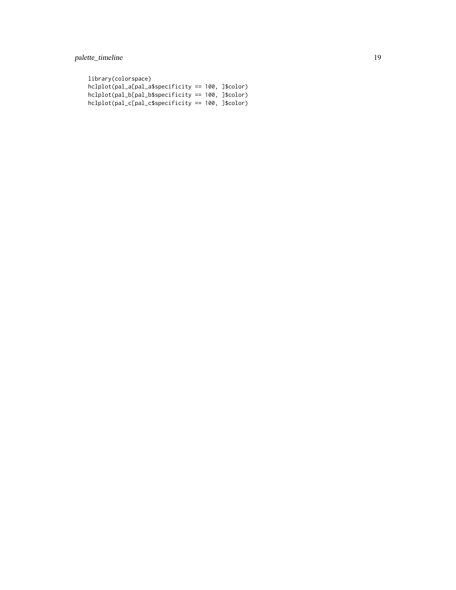palette\_timeline 19

library(colorspace) hclplot(pal\_a[pal\_a\$specificity == 100, ]\$color) hclplot(pal\_b[pal\_b\$specificity == 100, ]\$color) hclplot(pal\_c[pal\_c\$specificity == 100, ]\$color)